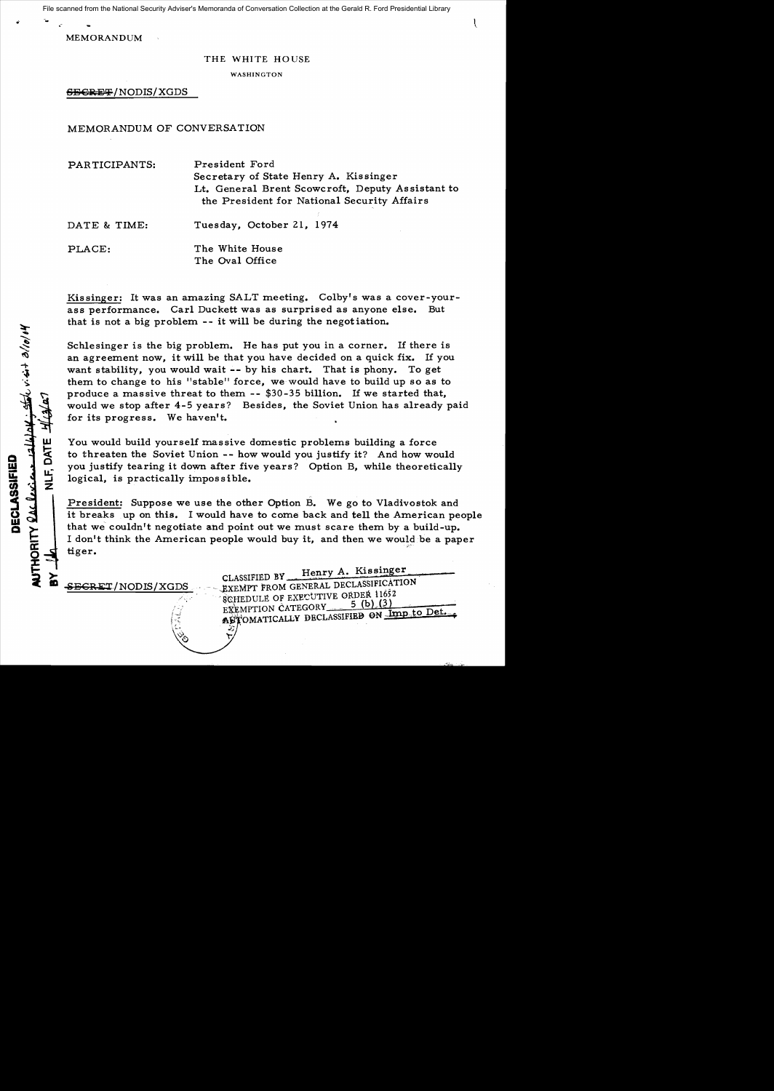File scanned from the National Security Adviser's Memoranda of Conversation Collection at the Gerald R. Ford Presidential Library

MEMORANDUM

#### THE WHITE HOUSE

WASHINGTON

SBGRET/NODIS/XGDS

MEMORANDUM OF CONVERSATION

PAR TICIPANTS: President Ford Secretary of State Henry A. Kissinger Lt. General Brent Scowcroft, Deputy As sistant to the President for National Security Affairs

DATE & TIME: Tuesday, October 21, 1974

PLACE: The White House The Oval Office

Kissinger: It was an amazing SALT meeting. Colby's was a cover-yourass performance. Carl Duckett was as surprised as anyone else. But that is not a big problem - it will be during the negotiation.

Schlesinger is the big problem. He has put you in a corner. If there is an agreement now, it will be that you have decided on a quick fix. If you want stability, you would wait -- by his chart. That is phony. To get them to change to his "stable" force, we would have to build up so as to produce a massive threat to them - \$30-35 billion. If we started that, would we stop after 4-5 years? Besides, the Soviet Union has already paid for its progress. We haven't.

You would build yourself massive domestic problems building a force to threaten the Soviet Union -- how would you justify it? And how would you justify tearing it down after five years? Option B, while theoretically logical, is practically impossible.

President: Suppose we use the other Option B. We go to Vladivostok and it breaks up on this. I would have to come back and tell the American people that we couldn't negotiate and point out we must scare them by a build-up. I don't think the American people would buy it, and then we would be a paper tiger.

₹ã,

CLASSIFIED BY Henry A. Kissinger SECRET/NODIS/XGDS ... - EXEMPT FROM GENERAL DECLASSIFICATION SCHEDULE OF EXECUTIVE ORDER 11652  $\frac{1}{2}$  EXEMPTION CATEGORY 5 (b) (3)<br>  $\frac{1}{2}$  exemption CATEGORY 5 (b) inp to Det.  $\frac{1}{2}$  **AUTOMAT!** 

w ik<br>አ o

u: ...J Z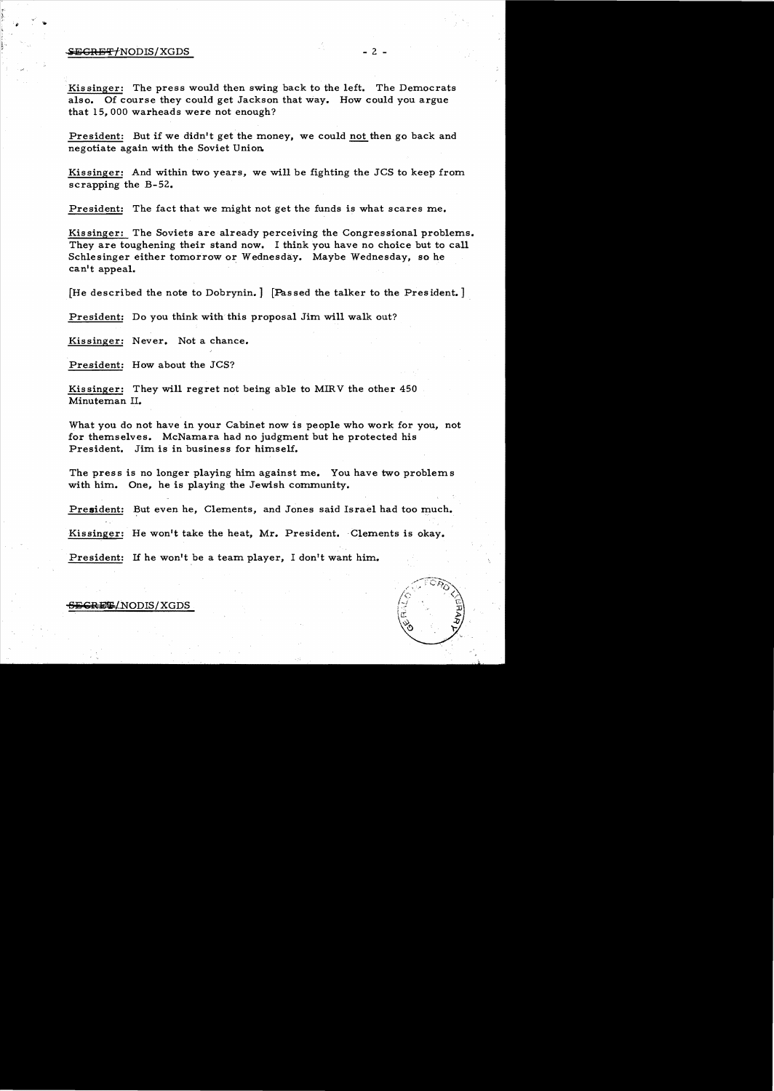#### information of the set of the set of the set of the set of the set of the set of the set of the set of the set o

Kissinger: The press would then swing back to the left. The Democrats also. Of course they could get Jackson that way. How could you argue that 15, 000 warheads were not enough?

President: But if we didn't get the money, we could not then go back and negotiate again with the Soviet Union.

Kissinger: And within two years, we will be fighting the JCS to keep from scrapping the B-52.

President: The fact that we might not get the funds is what scares me.

Kissinger: The Soviets are already perceiving the Congressional problems. They are toughening their stand now. I think you have no choice but to call Schlesinger either tomorrow or Wednesday. Maybe Wednesday, so he can't appeal.

[He described the note to Dobrynin.] [Passed the talker to the President.]

President: Do you think with this proposal Jim will walk out?

Kissinger: Never. Not a chance.

President: How about the JCS?

Kissinger: They will regret not being able to MIRV the other 450 Minuteman II.

What you do not have in your Cabinet now is people who work for you, not for themselves. McNamara had no judgment but he protected his President. Jim is in business for himself.

The press is no longer playing him against me. You have two problems with him. One, he is playing the Jewish community.

President: But even he, Clements, and Jones said Israel had too much.

Kissinger: He won't take the heat, Mr. President. Clements is okay.

President: If he won't be a team player, I don't want him.

## **EGREE/NODIS/XGDS**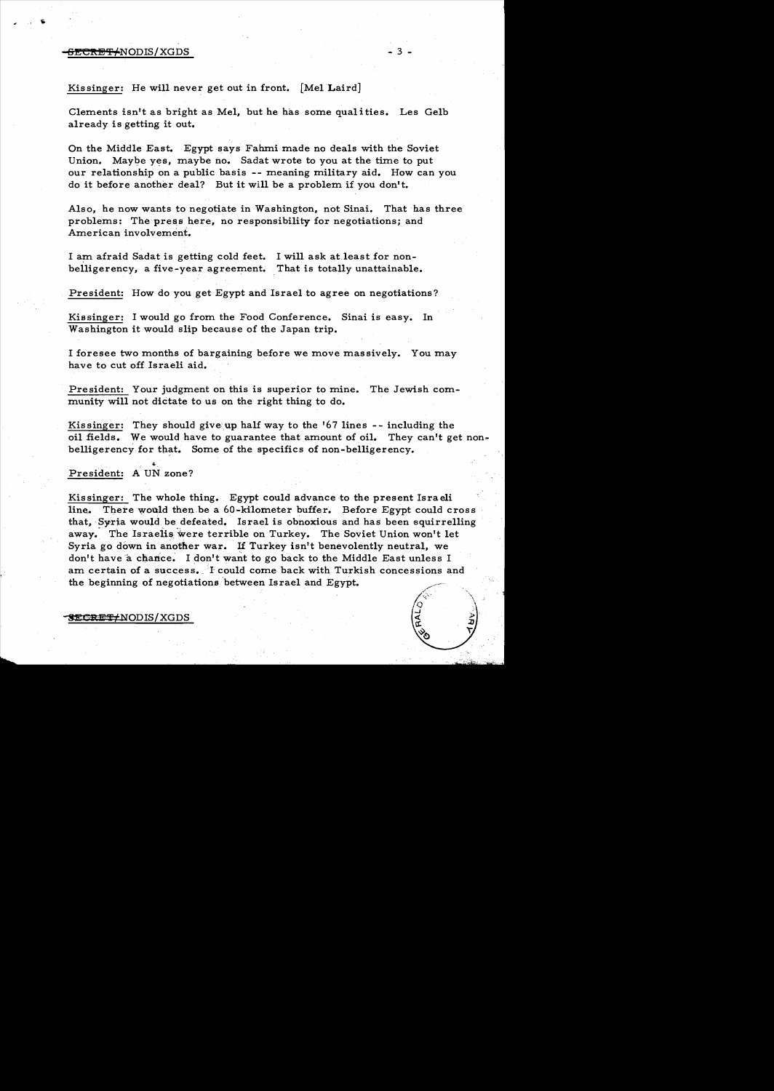## F<del>ECRET/</del>NODIS/XGDS

# Kis singer: He will never get out in front. [Mel Laird]

Clements isn't as bright as Mel, but he has some qualities. Les Gelb already is getting it out.

On the Middle East. Egypt says Fahmi made no deals with the Soviet Union. Maybe yes, maybe no. Sadat wrote to you at the time to put our relationship on a public basis -- meaning military aid. How can you do it before another deal? But it will be a problem if you don't.

Also, he now wants to negotiate in Washington, not Sinai. That has three problems: The press here, no responsibility for negotiations; and American involvement.

I am afraid Sadat is getting cold feet. I will ask at least for nonbelligerency, a five-year agreement. That is totally unattainable.

President: How do you get Egypt and Israel to agree on negotiations?

Kissinger: I would go from the Food Conference. Sinai is easy. In Washington it would slip because of the Japan trip.

I foresee two months of bargaining before we move massively. You may have to cut off Israeli aid.

President: Your judgment on this is superior to mine. The Jewish community will not dictate to us on the right thing to do.

Kissinger: They should give: up halfway to the '67 lines -- including the oil fields. We would have to guarantee that amount of oil. They can't get nonbelligerency for that. Some of the specifics of non-belligerency.

4. President: A UN zone?

Kissinger: The whole thing. Egypt could advance to the present Israeli line. There would then be a 60-kilometer buffer. Before Egypt could cross that, Syria would. be defeated. Israel is obnoxious and has been squirrelling away. The Israelis were terrible on Turkey. The Soviet Union won't let Syria go down in another war. If Turkey isn't benevolently neutral, we don't have a chance. I don't want to go back to the Middle East unless I am certain of a success. I could come back with Turkish concessions and the beginning of negotiations between Israel and Egypt.

**SECRET#NODIS/XGDS**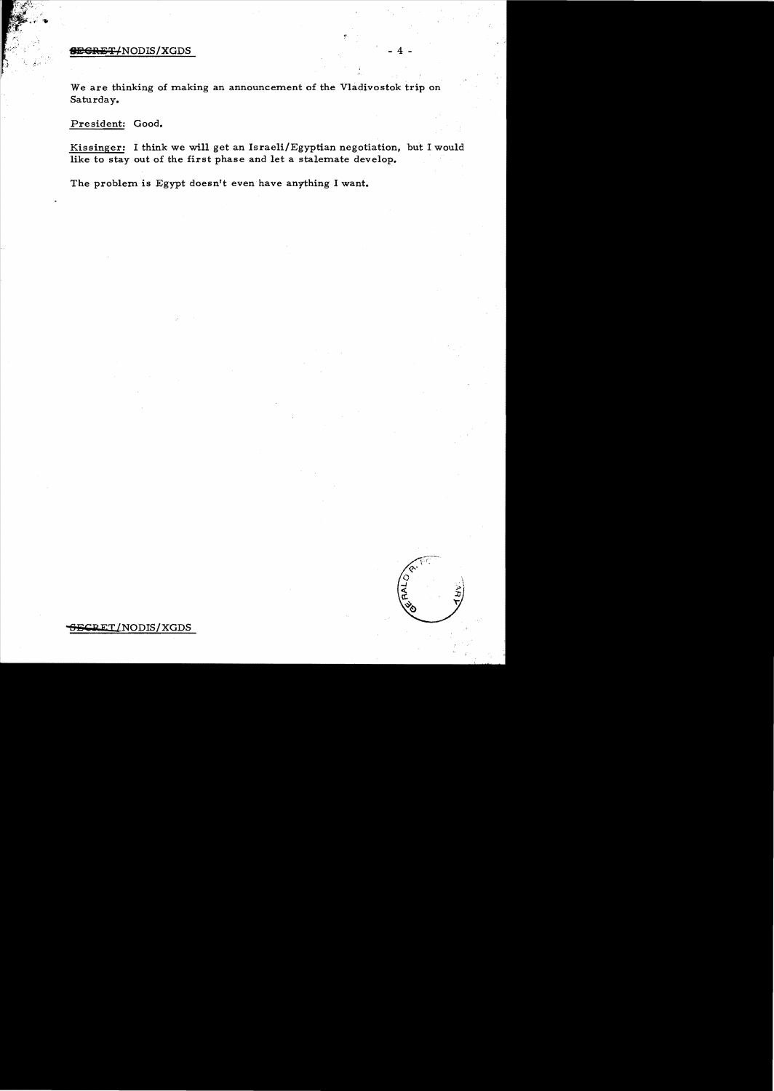## **SEGRET/NODIS/XGDS**

We are thinking of making an announcement of the Vladivostok trip on Saturday.

President: Good.

Kissinger: I think we will get an Israeli/Egyptian negotiation, but I would like to stay out of the first phase and let a stalemate develop.

The problem is Egypt doesn't even have anything I want.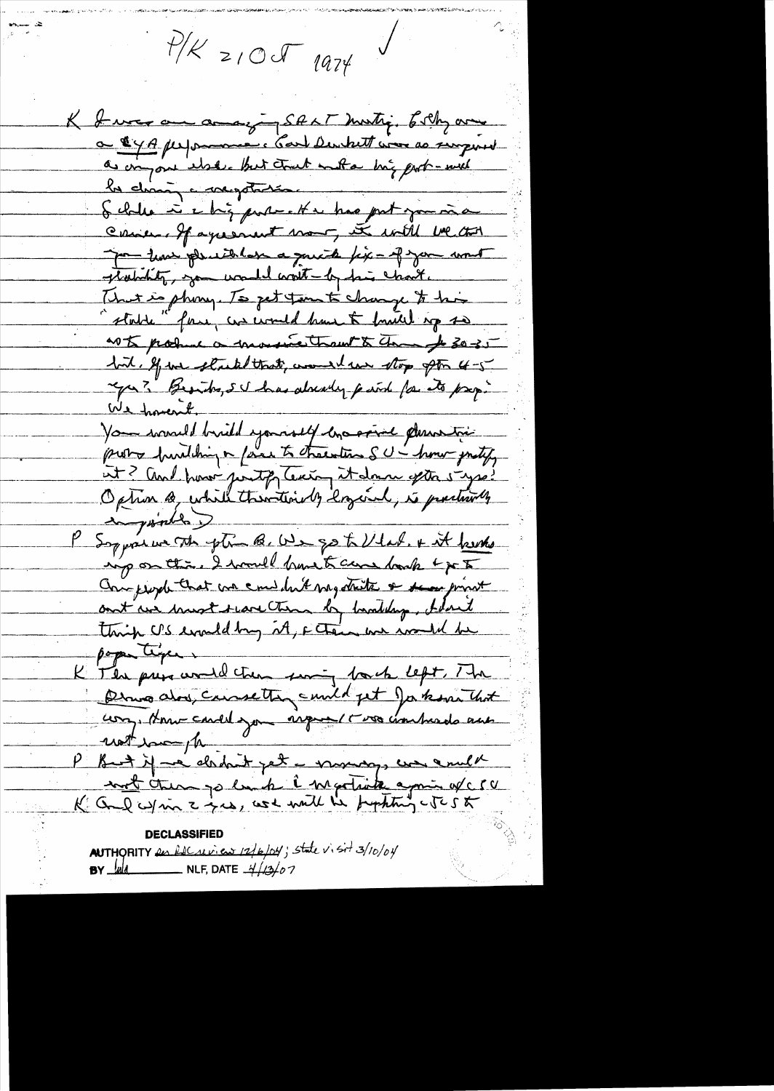$114209$  1974

K I was an anaging SALT months, Esth and a 14A personne : Carl Dentrett com as singered as anyone where that that not a big port-with la change comptante. Come of agreement more, it will be that por tous pleasaber a quick fix - of you want stability, you would want - by his chart. That is phony. To get turn to change to his "state" form, we would have to formell up so as to produce a monsioner than to the 30-35 but, If we strike that, would no stop pto 4-5 year? Beauto, su has already paint for to page We havent Vous would brief yourself crossine dessutées probo building a faire to character SU - home justify at? And how justify texting it down ofthe 5 years?<br>Option @ while then thirdly logical, is prectionly inguished ) ing on this. I would know to care bank & po 5 Comprophethat we can don't my state & sea print ant we must scare them by healthy, blant thing US evaldby it, Ftain we would be poper type . K The princeral then soming back left, The Derno alors, causetten cuild pet Jakon that con, Home could you inquest t vos combrado aux unt import P But if we derhit yet a monday, we excell

AUTHORITY en Recruiton 12/6/04; state visit 3/10/04 **BY**  $\frac{f_{\text{old}}}{f_{\text{old}}}$  NLF, DATE  $\frac{1}{4}/(3/07)$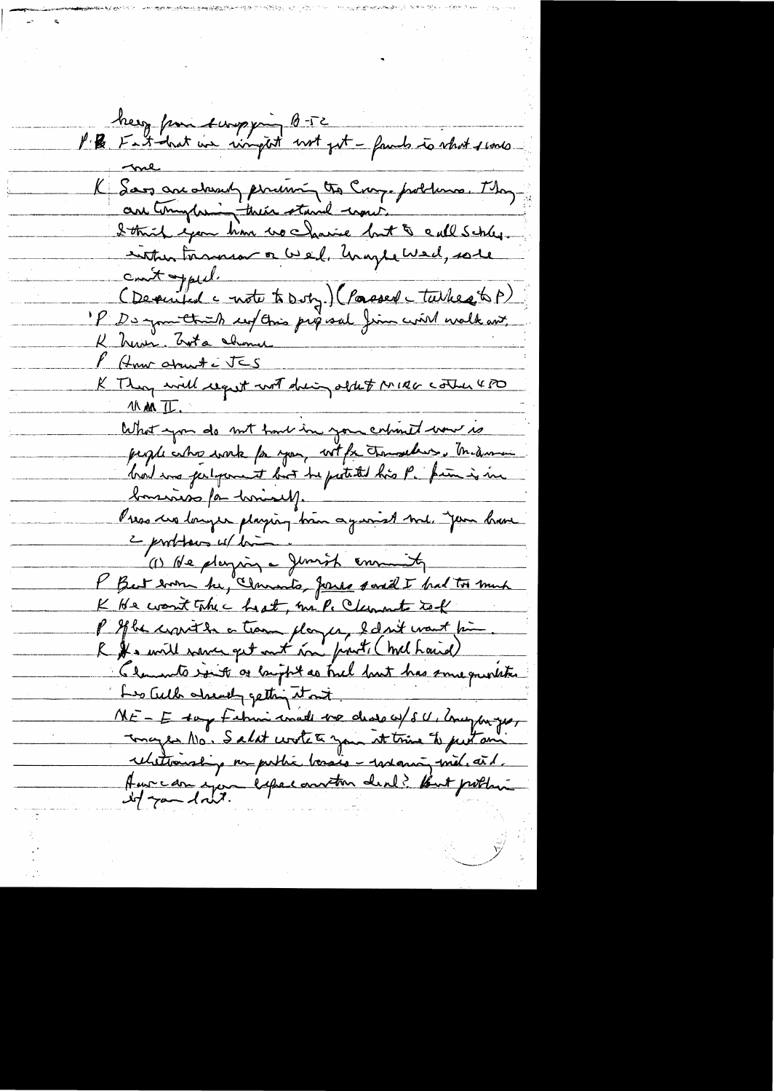herz from surprime B-52<br>P B Fast-hat we ringet not get - famb to what scores K Saos are downly perium to Cray problems. They are town their stand would be problems. They cont oppied. Obeauté à contrat de la dépuise de la 1888) K herrin, Crota chome F How about i JES K They will request with driving obtet MIRG Cother 480 11 M II. What you do not have in your colonel wow is bonsinos par hominales. Press un langer playing bien against me, join bien " (1) Ne playing a Junish emmety P But worn he, Clamato, Jones saved I had too much K He want the c heat, mile Clement tek l'If be convit de ce trans player, belant mant point R & mill were get out in front, (mel haid) Claments into or bright as hel but has some question Les Culh chearly getting it not NE-E say Februi made me dessay sur companyer Tonages No. Salat worte to your at tring to put ani relationship on public basis - restancy met. aid. Aussian ejou éxpectanton denl? But potten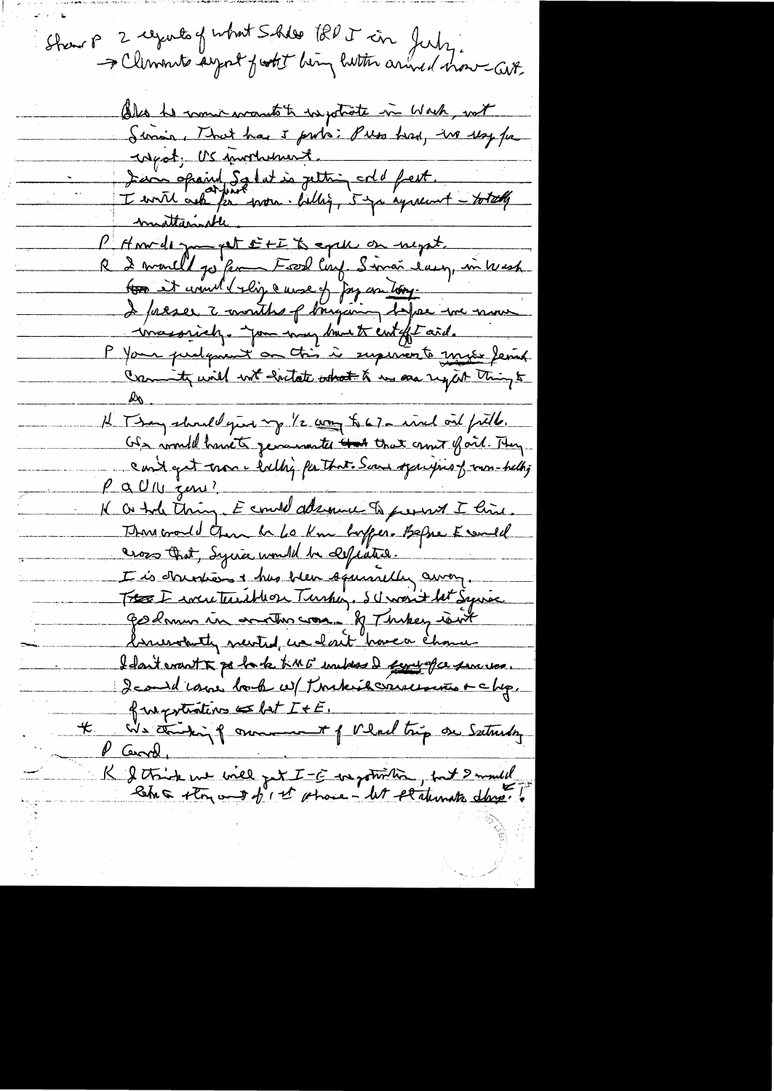Strew P 2 regards of what Solder the T in July.<br>I Clements argent furtit being lutter anned move GUP. Also he monic wants to watrate in Wach, with Siria, That has I proto: Puss had, in use fa west; US mortulment. Jean opaint Salat is jetting orld fest. I with ask for won. Why, 5 yr syrecust - totally P Anville pour fet sit à explication megat. tous et court l'elige ausse of Joy con tony. I preser à months of banquing hopes me nous inassiely. you my brust entifit aid. P Your purlement on this is superiorto music ferred Commity will not exitate what & we are sight thing to H They should give my 1/2 com to 67- incl on field. US would have to generate that the ant fait. They cont get mon e tallig for that. Some opperfies of mon-hellig  $\rho$  a  $0$  lu zeni? Il a tole thing. E could adamne to prevent I him This croud than he be kne boffer. Befue Essaid<br>Seos that, Syric would be expected. I is donners i has been squarelly away. Tre I were turished Turking. Schweit let Syriac godmun in another was of Thekey rout brundaty newtrol, we don't have a chome I don't crant & po harle time unders I find of ce services des id vous bord un toute éterne entre lup. fungations  $\leq$  bet  $I + E$ . We thinking of owner of Veral trip on Sutureday  $\mathcal{L}$ P Cerral, K & think we will get I - E in gotwith , but I mult